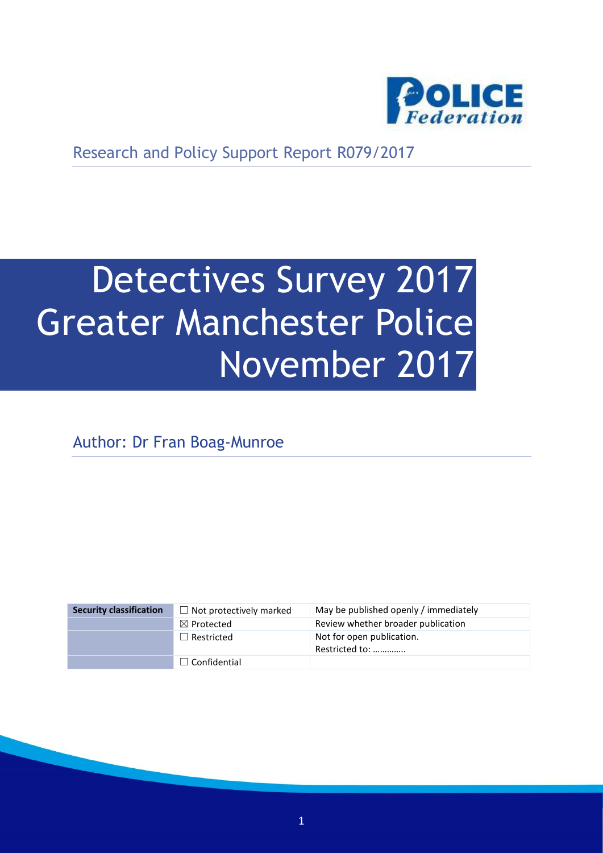

Research and Policy Support Report R079/2017

# Detectives Survey 2017 Greater Manchester Police November 2017

Author: Dr Fran Boag-Munroe

| <b>Security classification</b> | $\Box$ Not protectively marked | May be published openly / immediately       |
|--------------------------------|--------------------------------|---------------------------------------------|
|                                | $\boxtimes$ Protected          | Review whether broader publication          |
|                                | $\Box$ Restricted              | Not for open publication.<br>Restricted to: |
|                                | $\Box$ Confidential            |                                             |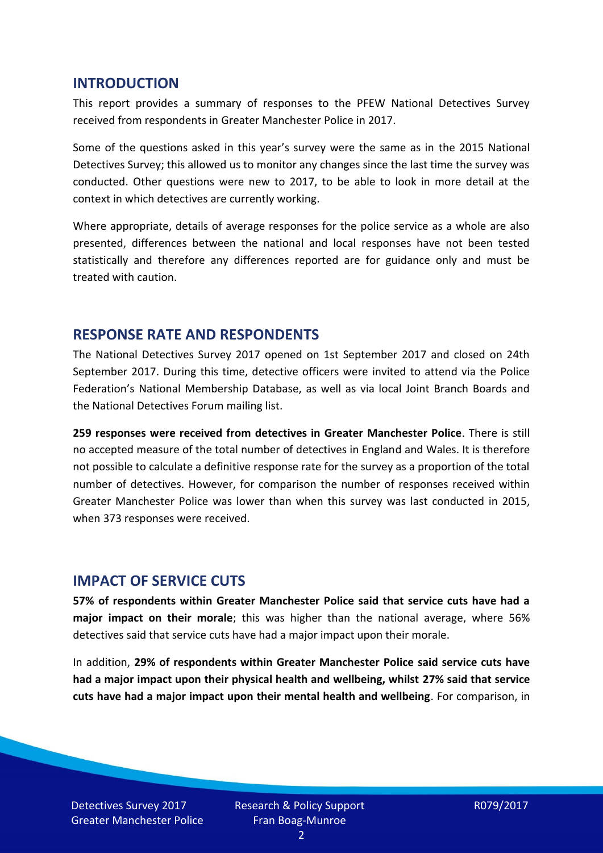#### **INTRODUCTION**

This report provides a summary of responses to the PFEW National Detectives Survey received from respondents in Greater Manchester Police in 2017.

Some of the questions asked in this year's survey were the same as in the 2015 National Detectives Survey; this allowed us to monitor any changes since the last time the survey was conducted. Other questions were new to 2017, to be able to look in more detail at the context in which detectives are currently working.

Where appropriate, details of average responses for the police service as a whole are also presented, differences between the national and local responses have not been tested statistically and therefore any differences reported are for guidance only and must be treated with caution.

#### **RESPONSE RATE AND RESPONDENTS**

The National Detectives Survey 2017 opened on 1st September 2017 and closed on 24th September 2017. During this time, detective officers were invited to attend via the Police Federation's National Membership Database, as well as via local Joint Branch Boards and the National Detectives Forum mailing list.

**259 responses were received from detectives in Greater Manchester Police**. There is still no accepted measure of the total number of detectives in England and Wales. It is therefore not possible to calculate a definitive response rate for the survey as a proportion of the total number of detectives. However, for comparison the number of responses received within Greater Manchester Police was lower than when this survey was last conducted in 2015, when 373 responses were received.

#### **IMPACT OF SERVICE CUTS**

**57% of respondents within Greater Manchester Police said that service cuts have had a major impact on their morale**; this was higher than the national average, where 56% detectives said that service cuts have had a major impact upon their morale.

In addition, **29% of respondents within Greater Manchester Police said service cuts have had a major impact upon their physical health and wellbeing, whilst 27% said that service cuts have had a major impact upon their mental health and wellbeing**. For comparison, in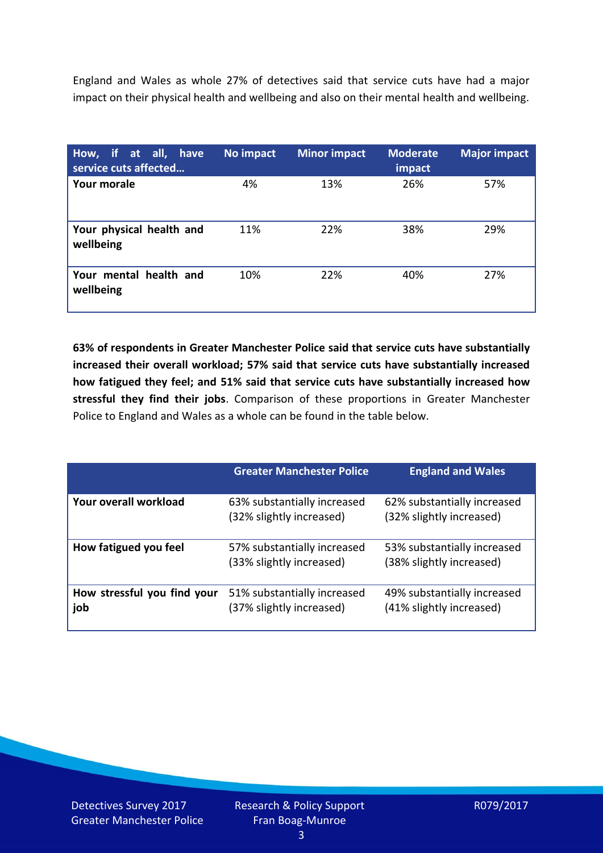England and Wales as whole 27% of detectives said that service cuts have had a major impact on their physical health and wellbeing and also on their mental health and wellbeing.

| How, if at all, have<br>service cuts affected | No impact | <b>Minor impact</b> | <b>Moderate</b><br>impact | <b>Major impact</b> |
|-----------------------------------------------|-----------|---------------------|---------------------------|---------------------|
| Your morale                                   | 4%        | 13%                 | 26%                       | 57%                 |
| Your physical health and<br>wellbeing         | 11%       | 22%                 | 38%                       | 29%                 |
| Your mental health and<br>wellbeing           | 10%       | 22%                 | 40%                       | 27%                 |

**63% of respondents in Greater Manchester Police said that service cuts have substantially increased their overall workload; 57% said that service cuts have substantially increased how fatigued they feel; and 51% said that service cuts have substantially increased how stressful they find their jobs**. Comparison of these proportions in Greater Manchester Police to England and Wales as a whole can be found in the table below.

|                                    | <b>Greater Manchester Police</b>                        | <b>England and Wales</b>                                |
|------------------------------------|---------------------------------------------------------|---------------------------------------------------------|
| Your overall workload              | 63% substantially increased<br>(32% slightly increased) | 62% substantially increased<br>(32% slightly increased) |
| How fatigued you feel              | 57% substantially increased<br>(33% slightly increased) | 53% substantially increased<br>(38% slightly increased) |
| How stressful you find your<br>job | 51% substantially increased<br>(37% slightly increased) | 49% substantially increased<br>(41% slightly increased) |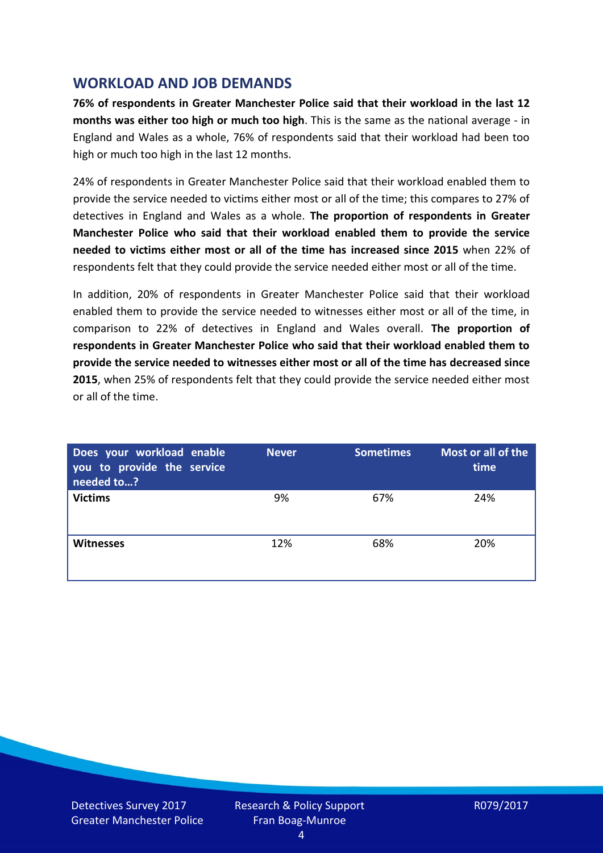## **WORKLOAD AND JOB DEMANDS**

**76% of respondents in Greater Manchester Police said that their workload in the last 12 months was either too high or much too high**. This is the same as the national average - in England and Wales as a whole, 76% of respondents said that their workload had been too high or much too high in the last 12 months.

24% of respondents in Greater Manchester Police said that their workload enabled them to provide the service needed to victims either most or all of the time; this compares to 27% of detectives in England and Wales as a whole. **The proportion of respondents in Greater Manchester Police who said that their workload enabled them to provide the service needed to victims either most or all of the time has increased since 2015** when 22% of respondents felt that they could provide the service needed either most or all of the time.

In addition, 20% of respondents in Greater Manchester Police said that their workload enabled them to provide the service needed to witnesses either most or all of the time, in comparison to 22% of detectives in England and Wales overall. **The proportion of respondents in Greater Manchester Police who said that their workload enabled them to provide the service needed to witnesses either most or all of the time has decreased since 2015**, when 25% of respondents felt that they could provide the service needed either most or all of the time.

| Does your workload enable<br>you to provide the service<br>needed to? | <b>Never</b> | <b>Sometimes</b> | Most or all of the<br>time |
|-----------------------------------------------------------------------|--------------|------------------|----------------------------|
| <b>Victims</b>                                                        | 9%           | 67%              | 24%                        |
| <b>Witnesses</b>                                                      | 12%          | 68%              | 20%                        |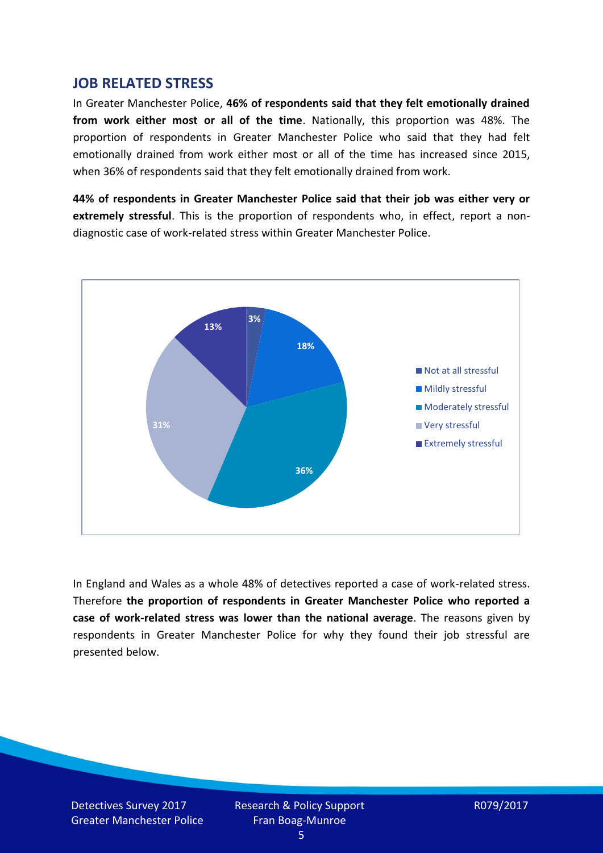#### **JOB RELATED STRESS**

In Greater Manchester Police, **46% of respondents said that they felt emotionally drained from work either most or all of the time**. Nationally, this proportion was 48%. The proportion of respondents in Greater Manchester Police who said that they had felt emotionally drained from work either most or all of the time has increased since 2015, when 36% of respondents said that they felt emotionally drained from work.

**44% of respondents in Greater Manchester Police said that their job was either very or extremely stressful**. This is the proportion of respondents who, in effect, report a nondiagnostic case of work-related stress within Greater Manchester Police.



In England and Wales as a whole 48% of detectives reported a case of work-related stress. Therefore **the proportion of respondents in Greater Manchester Police who reported a case of work-related stress was lower than the national average**. The reasons given by respondents in Greater Manchester Police for why they found their job stressful are presented below.

Detectives Survey 2017 Greater Manchester Police Research & Policy Support Fran Boag-Munroe

R079/2017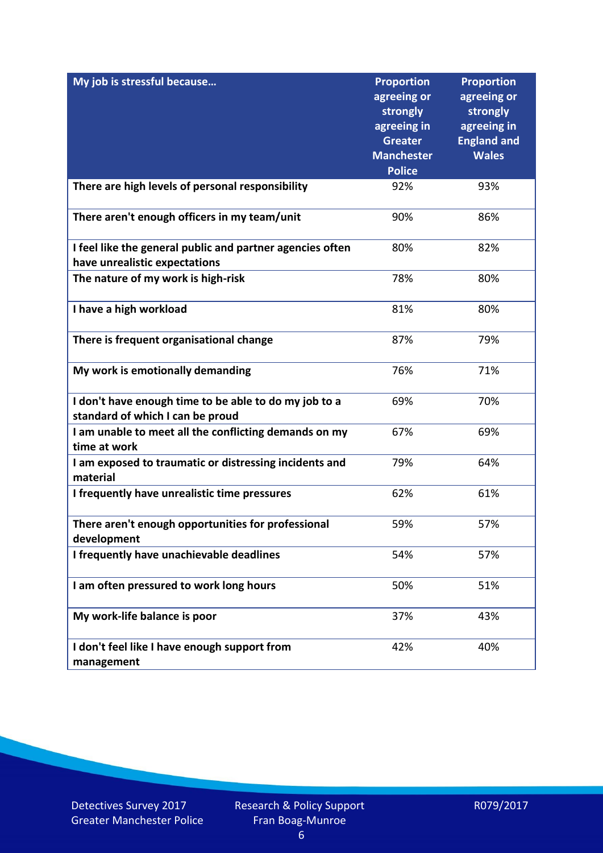| My job is stressful because                                                                | <b>Proportion</b><br>agreeing or<br>strongly<br>agreeing in<br><b>Greater</b><br><b>Manchester</b><br><b>Police</b> | <b>Proportion</b><br>agreeing or<br>strongly<br>agreeing in<br><b>England and</b><br><b>Wales</b> |
|--------------------------------------------------------------------------------------------|---------------------------------------------------------------------------------------------------------------------|---------------------------------------------------------------------------------------------------|
| There are high levels of personal responsibility                                           | 92%                                                                                                                 | 93%                                                                                               |
| There aren't enough officers in my team/unit                                               | 90%                                                                                                                 | 86%                                                                                               |
| I feel like the general public and partner agencies often<br>have unrealistic expectations | 80%                                                                                                                 | 82%                                                                                               |
| The nature of my work is high-risk                                                         | 78%                                                                                                                 | 80%                                                                                               |
| I have a high workload                                                                     | 81%                                                                                                                 | 80%                                                                                               |
| There is frequent organisational change                                                    | 87%                                                                                                                 | 79%                                                                                               |
| My work is emotionally demanding                                                           | 76%                                                                                                                 | 71%                                                                                               |
| I don't have enough time to be able to do my job to a<br>standard of which I can be proud  | 69%                                                                                                                 | 70%                                                                                               |
| I am unable to meet all the conflicting demands on my<br>time at work                      | 67%                                                                                                                 | 69%                                                                                               |
| I am exposed to traumatic or distressing incidents and<br>material                         | 79%                                                                                                                 | 64%                                                                                               |
| I frequently have unrealistic time pressures                                               | 62%                                                                                                                 | 61%                                                                                               |
| There aren't enough opportunities for professional<br>development                          | 59%                                                                                                                 | 57%                                                                                               |
| I frequently have unachievable deadlines                                                   | 54%                                                                                                                 | 57%                                                                                               |
| I am often pressured to work long hours                                                    | 50%                                                                                                                 | 51%                                                                                               |
| My work-life balance is poor                                                               | 37%                                                                                                                 | 43%                                                                                               |
| I don't feel like I have enough support from<br>management                                 | 42%                                                                                                                 | 40%                                                                                               |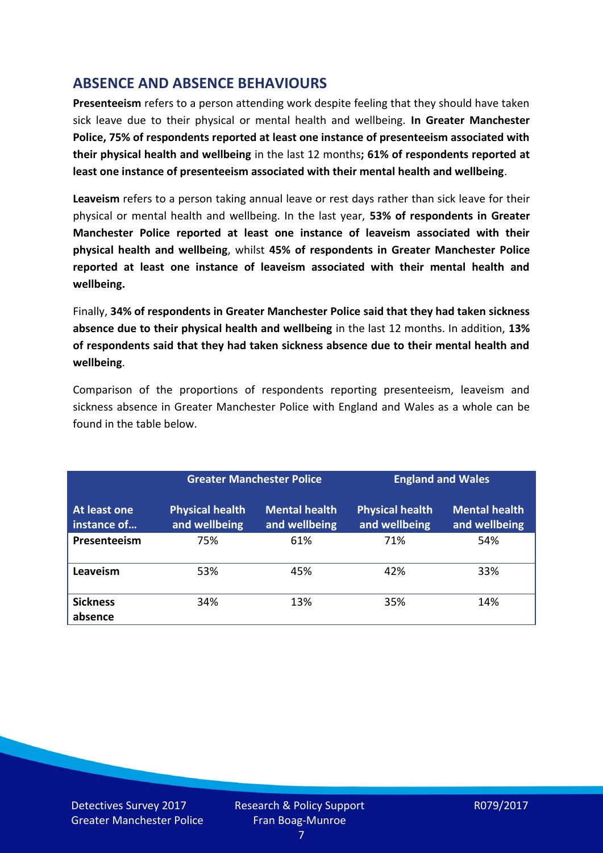## **ABSENCE AND ABSENCE BEHAVIOURS**

**Presenteeism** refers to a person attending work despite feeling that they should have taken sick leave due to their physical or mental health and wellbeing. **In Greater Manchester Police, 75% of respondents reported at least one instance of presenteeism associated with their physical health and wellbeing** in the last 12 months**; 61% of respondents reported at least one instance of presenteeism associated with their mental health and wellbeing**.

**Leaveism** refers to a person taking annual leave or rest days rather than sick leave for their physical or mental health and wellbeing. In the last year, **53% of respondents in Greater Manchester Police reported at least one instance of leaveism associated with their physical health and wellbeing**, whilst **45% of respondents in Greater Manchester Police reported at least one instance of leaveism associated with their mental health and wellbeing.**

Finally, **34% of respondents in Greater Manchester Police said that they had taken sickness absence due to their physical health and wellbeing** in the last 12 months. In addition, **13% of respondents said that they had taken sickness absence due to their mental health and wellbeing**.

Comparison of the proportions of respondents reporting presenteeism, leaveism and sickness absence in Greater Manchester Police with England and Wales as a whole can be found in the table below.

|                             | <b>Greater Manchester Police</b>        |                                       | <b>England and Wales</b>                |                                       |
|-----------------------------|-----------------------------------------|---------------------------------------|-----------------------------------------|---------------------------------------|
| At least one<br>instance of | <b>Physical health</b><br>and wellbeing | <b>Mental health</b><br>and wellbeing | <b>Physical health</b><br>and wellbeing | <b>Mental health</b><br>and wellbeing |
| Presenteeism                | 75%                                     | 61%                                   | 71%                                     | 54%                                   |
| Leaveism                    | 53%                                     | 45%                                   | 42%                                     | 33%                                   |
| <b>Sickness</b><br>absence  | 34%                                     | 13%                                   | 35%                                     | 14%                                   |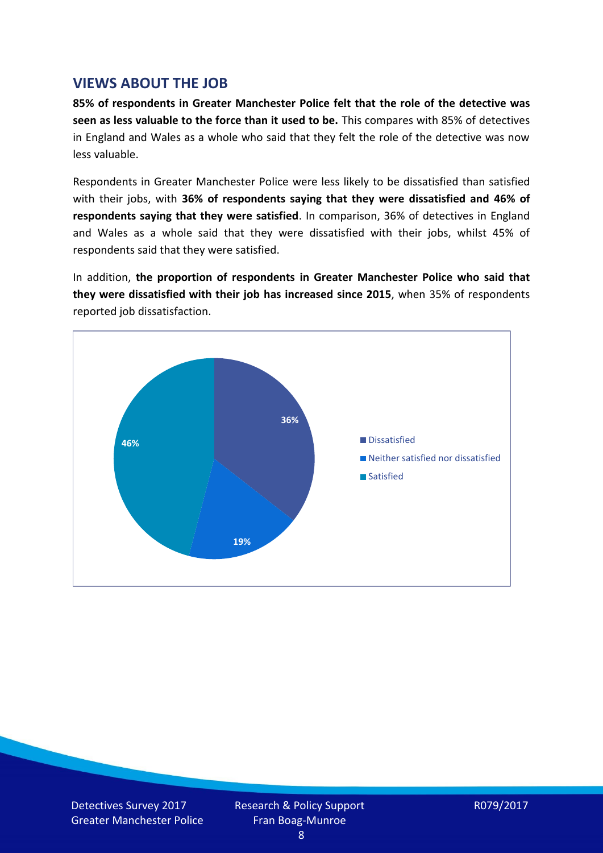### **VIEWS ABOUT THE JOB**

**85% of respondents in Greater Manchester Police felt that the role of the detective was seen as less valuable to the force than it used to be.** This compares with 85% of detectives in England and Wales as a whole who said that they felt the role of the detective was now less valuable.

Respondents in Greater Manchester Police were less likely to be dissatisfied than satisfied with their jobs, with **36% of respondents saying that they were dissatisfied and 46% of respondents saying that they were satisfied**. In comparison, 36% of detectives in England and Wales as a whole said that they were dissatisfied with their jobs, whilst 45% of respondents said that they were satisfied.

In addition, **the proportion of respondents in Greater Manchester Police who said that they were dissatisfied with their job has increased since 2015**, when 35% of respondents reported job dissatisfaction.



Detectives Survey 2017 Greater Manchester Police Research & Policy Support Fran Boag-Munroe

R079/2017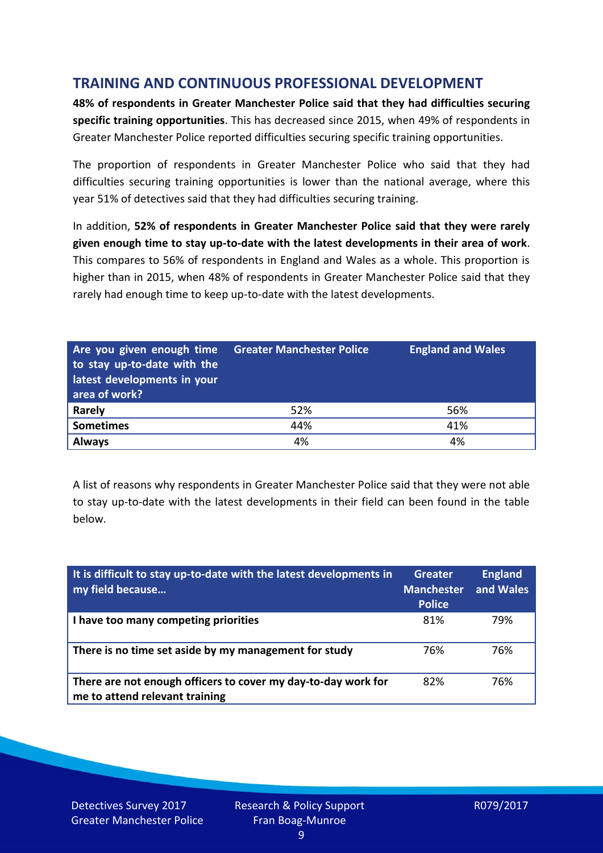## **TRAINING AND CONTINUOUS PROFESSIONAL DEVELOPMENT**

**48% of respondents in Greater Manchester Police said that they had difficulties securing specific training opportunities**. This has decreased since 2015, when 49% of respondents in Greater Manchester Police reported difficulties securing specific training opportunities.

The proportion of respondents in Greater Manchester Police who said that they had difficulties securing training opportunities is lower than the national average, where this year 51% of detectives said that they had difficulties securing training.

In addition, **52% of respondents in Greater Manchester Police said that they were rarely given enough time to stay up-to-date with the latest developments in their area of work**. This compares to 56% of respondents in England and Wales as a whole. This proportion is higher than in 2015, when 48% of respondents in Greater Manchester Police said that they rarely had enough time to keep up-to-date with the latest developments.

| Are you given enough time<br>to stay up-to-date with the<br>latest developments in your<br>area of work? | <b>Greater Manchester Police</b> | <b>England and Wales</b> |
|----------------------------------------------------------------------------------------------------------|----------------------------------|--------------------------|
| <b>Rarely</b>                                                                                            | 52%                              | 56%                      |
| <b>Sometimes</b>                                                                                         | 44%                              | 41%                      |
| <b>Always</b>                                                                                            | 4%                               | 4%                       |

A list of reasons why respondents in Greater Manchester Police said that they were not able to stay up-to-date with the latest developments in their field can been found in the table below.

| It is difficult to stay up-to-date with the latest developments in<br>my field because          | Greater<br><b>Manchester</b><br><b>Police</b> | <b>England</b><br>and Wales |
|-------------------------------------------------------------------------------------------------|-----------------------------------------------|-----------------------------|
| I have too many competing priorities                                                            | 81%                                           | 79%                         |
| There is no time set aside by my management for study                                           | 76%                                           | 76%                         |
| There are not enough officers to cover my day-to-day work for<br>me to attend relevant training | 82%                                           | 76%                         |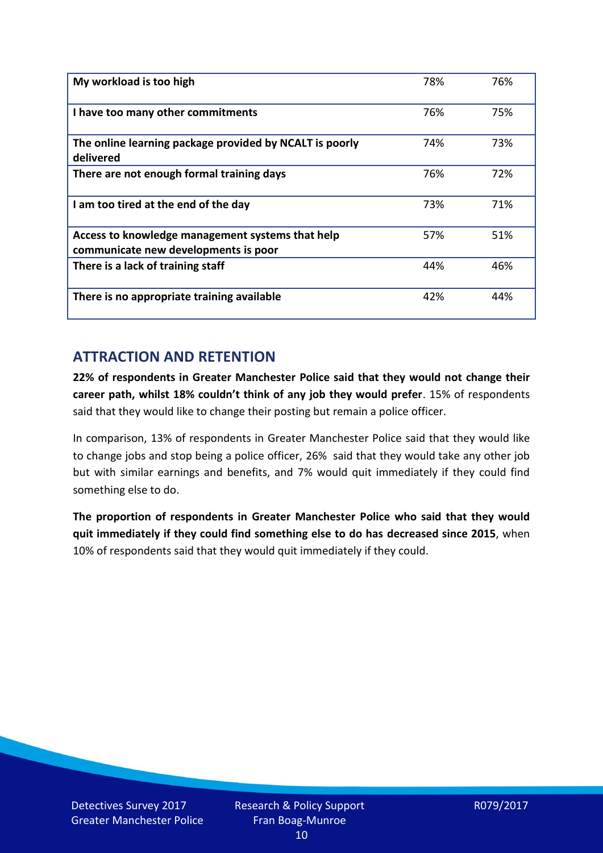| My workload is too high                                                                  | 78% | 76% |
|------------------------------------------------------------------------------------------|-----|-----|
| I have too many other commitments                                                        | 76% | 75% |
| The online learning package provided by NCALT is poorly<br>delivered                     | 74% | 73% |
| There are not enough formal training days                                                | 76% | 72% |
| I am too tired at the end of the day                                                     | 73% | 71% |
| Access to knowledge management systems that help<br>communicate new developments is poor | 57% | 51% |
| There is a lack of training staff                                                        | 44% | 46% |
| There is no appropriate training available                                               | 42% | 44% |

## **ATTRACTION AND RETENTION**

**22% of respondents in Greater Manchester Police said that they would not change their career path, whilst 18% couldn't think of any job they would prefer**. 15% of respondents said that they would like to change their posting but remain a police officer.

In comparison, 13% of respondents in Greater Manchester Police said that they would like to change jobs and stop being a police officer, 26% said that they would take any other job but with similar earnings and benefits, and 7% would quit immediately if they could find something else to do.

**The proportion of respondents in Greater Manchester Police who said that they would quit immediately if they could find something else to do has decreased since 2015**, when 10% of respondents said that they would quit immediately if they could.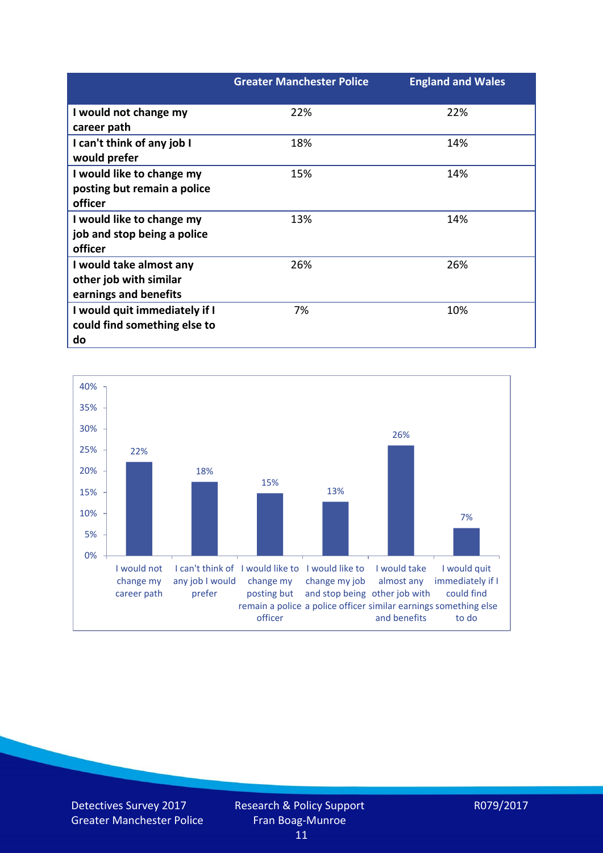|                               | <b>Greater Manchester Police</b> | <b>England and Wales</b> |
|-------------------------------|----------------------------------|--------------------------|
| I would not change my         | 22%                              | 22%                      |
| career path                   |                                  |                          |
| I can't think of any job I    | 18%                              | 14%                      |
| would prefer                  |                                  |                          |
| I would like to change my     | 15%                              | 14%                      |
| posting but remain a police   |                                  |                          |
| officer                       |                                  |                          |
| I would like to change my     | 13%                              | 14%                      |
| job and stop being a police   |                                  |                          |
| officer                       |                                  |                          |
| I would take almost any       | 26%                              | 26%                      |
| other job with similar        |                                  |                          |
| earnings and benefits         |                                  |                          |
| I would quit immediately if I | 7%                               | 10%                      |
| could find something else to  |                                  |                          |
| do                            |                                  |                          |